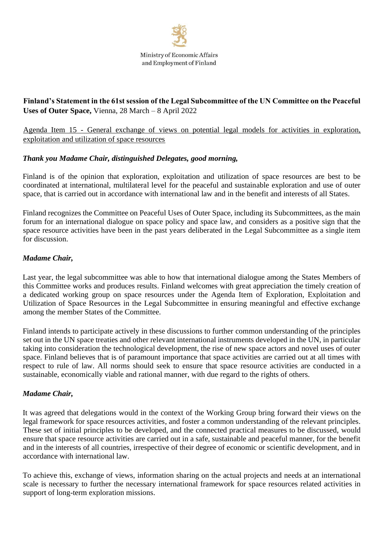

# **Finland's Statement in the 61st session of the Legal Subcommittee of the UN Committee on the Peaceful Uses of Outer Space,** Vienna, 28 March – 8 April 2022

Agenda Item 15 - General exchange of views on potential legal models for activities in exploration, exploitation and utilization of space resources

## *Thank you Madame Chair, distinguished Delegates, good morning,*

Finland is of the opinion that exploration, exploitation and utilization of space resources are best to be coordinated at international, multilateral level for the peaceful and sustainable exploration and use of outer space, that is carried out in accordance with international law and in the benefit and interests of all States.

Finland recognizes the Committee on Peaceful Uses of Outer Space, including its Subcommittees, as the main forum for an international dialogue on space policy and space law, and considers as a positive sign that the space resource activities have been in the past years deliberated in the Legal Subcommittee as a single item for discussion.

#### *Madame Chair,*

Last year, the legal subcommittee was able to how that international dialogue among the States Members of this Committee works and produces results. Finland welcomes with great appreciation the timely creation of a dedicated working group on space resources under the Agenda Item of Exploration, Exploitation and Utilization of Space Resources in the Legal Subcommittee in ensuring meaningful and effective exchange among the member States of the Committee.

Finland intends to participate actively in these discussions to further common understanding of the principles set out in the UN space treaties and other relevant international instruments developed in the UN, in particular taking into consideration the technological development, the rise of new space actors and novel uses of outer space. Finland believes that is of paramount importance that space activities are carried out at all times with respect to rule of law. All norms should seek to ensure that space resource activities are conducted in a sustainable, economically viable and rational manner, with due regard to the rights of others.

#### *Madame Chair,*

It was agreed that delegations would in the context of the Working Group bring forward their views on the legal framework for space resources activities, and foster a common understanding of the relevant principles. These set of initial principles to be developed, and the connected practical measures to be discussed, would ensure that space resource activities are carried out in a safe, sustainable and peaceful manner, for the benefit and in the interests of all countries, irrespective of their degree of economic or scientific development, and in accordance with international law.

To achieve this, exchange of views, information sharing on the actual projects and needs at an international scale is necessary to further the necessary international framework for space resources related activities in support of long-term exploration missions.